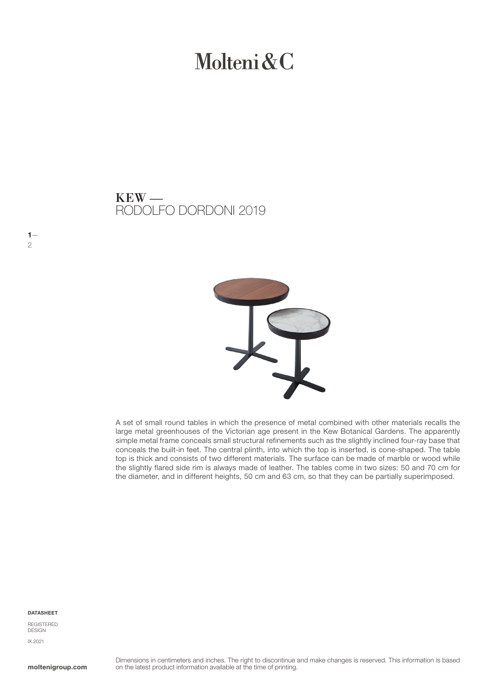# Molteni & C

### RODOLFO DORDONI 2019  $KEW -$



A set of small round tables in which the presence of metal combined with other materials recalls the large metal greenhouses of the Victorian age present in the Kew Botanical Gardens. The apparently simple metal frame conceals small structural refinements such as the slightly inclined four-ray base that conceals the built-in feet. The central plinth, into which the top is inserted, is cone-shaped. The table top is thick and consists of two different materials. The surface can be made of marble or wood while the slightly flared side rim is always made of leather. The tables come in two sizes: 50 and 70 cm for the diameter, and in different heights, 50 cm and 63 cm, so that they can be partially superimposed.

#### DATASHEET

 $1-$ 2

REGISTERED DESIGN IX.2021

moltenigroup.com